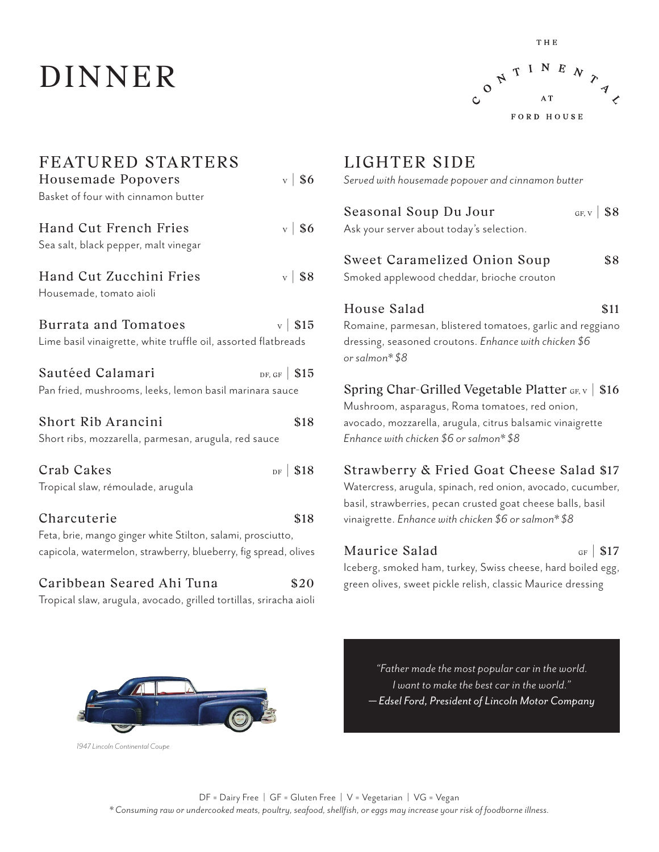## DINNER



| FEATURED STARTERS<br>$\mathbf{v}$   \$6<br>Housemade Popovers<br>Basket of four with cinnamon butter                                                  |  |
|-------------------------------------------------------------------------------------------------------------------------------------------------------|--|
| $v$   \$6<br>Hand Cut French Fries<br>Sea salt, black pepper, malt vinegar                                                                            |  |
| $v$   \$8<br>Hand Cut Zucchini Fries<br>Housemade, tomato aioli                                                                                       |  |
| Burrata and Tomatoes<br>$\rm v$   \$15<br>Lime basil vinaigrette, white truffle oil, assorted flatbreads                                              |  |
| Sautéed Calamari<br>DF, GF $\vert$ \$15<br>Pan fried, mushrooms, leeks, lemon basil marinara sauce                                                    |  |
| Short Rib Arancini<br>\$18<br>Short ribs, mozzarella, parmesan, arugula, red sauce                                                                    |  |
| Crab Cakes<br>$DF$ \$18<br>Tropical slaw, rémoulade, arugula                                                                                          |  |
| Charcuterie<br>\$18<br>Feta, brie, mango ginger white Stilton, salami, prosciutto,<br>capicola, watermelon, strawberry, blueberry, fig spread, olives |  |
| Caribbean Seared Ahi Tuna<br>\$20<br>Tropical slaw, arugula, avocado, grilled tortillas, sriracha aioli                                               |  |

### LIGHTER SIDE *Served with housemade popover and cinnamon butter* Seasonal Soup Du Jour  $_{GF, V}$  \ \$8 Ask your server about today's selection. Sweet Caramelized Onion Soup \$8 Smoked applewood cheddar, brioche crouton House Salad \$11 Romaine, parmesan, blistered tomatoes, garlic and reggiano dressing, seasoned croutons. *Enhance with chicken \$6 or salmon\* \$8* Spring Char-Grilled Vegetable Platter  $GF_X \mid $16$ Mushroom, asparagus, Roma tomatoes, red onion, avocado, mozzarella, arugula, citrus balsamic vinaigrette *Enhance with chicken \$6 or salmon\* \$8* Strawberry & Fried Goat Cheese Salad \$17 Watercress, arugula, spinach, red onion, avocado, cucumber, basil, strawberries, pecan crusted goat cheese balls, basil vinaigrette. *Enhance with chicken \$6 or salmon\* \$8*

### Maurice Salad  $_{GF}$  | \$17 Iceberg, smoked ham, turkey, Swiss cheese, hard boiled egg, green olives, sweet pickle relish, classic Maurice dressing



*"Father made the most popular car in the world. I want to make the best car in the world." — Edsel Ford, President of Lincoln Motor Company*